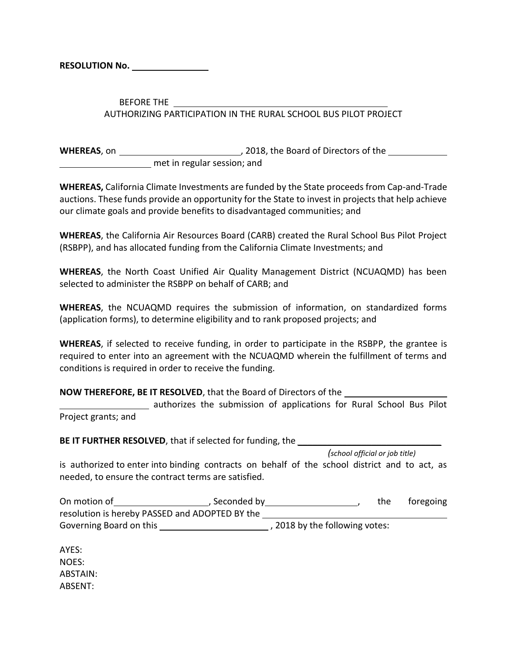**RESOLUTION No.**

BEFORE THE AUTHORIZING PARTICIPATION IN THE RURAL SCHOOL BUS PILOT PROJECT

**WHEREAS**, on *NHEREAS*, on *NHEREAS*, on *NHEREAS*, on *NHEREAS*, on *NHEREAS*, on *NHEREAS* met in regular session; and

**WHEREAS,** California Climate Investments are funded by the State proceeds from Cap-and-Trade auctions. These funds provide an opportunity for the State to invest in projects that help achieve our climate goals and provide benefits to disadvantaged communities; and

**WHEREAS**, the California Air Resources Board (CARB) created the Rural School Bus Pilot Project (RSBPP), and has allocated funding from the California Climate Investments; and

**WHEREAS**, the North Coast Unified Air Quality Management District (NCUAQMD) has been selected to administer the RSBPP on behalf of CARB; and

**WHEREAS**, the NCUAQMD requires the submission of information, on standardized forms (application forms), to determine eligibility and to rank proposed projects; and

**WHEREAS**, if selected to receive funding, in order to participate in the RSBPP, the grantee is required to enter into an agreement with the NCUAQMD wherein the fulfillment of terms and conditions is required in order to receive the funding.

**NOW THEREFORE, BE IT RESOLVED**, that the Board of Directors of the

 authorizes the submission of applications for Rural School Bus Pilot Project grants; and

**BE IT FURTHER RESOLVED**, that if selected for funding, the *\_\_\_\_\_\_\_\_\_\_\_\_\_\_\_\_\_\_\_\_\_\_\_\_\_\_\_\_\_*

*(school official or job title)*

is authorized to enter into binding contracts on behalf of the school district and to act, as needed, to ensure the contract terms are satisfied.

| On motion of                                   | , Seconded by |                                | the | foregoing |
|------------------------------------------------|---------------|--------------------------------|-----|-----------|
| resolution is hereby PASSED and ADOPTED BY the |               |                                |     |           |
| Governing Board on this                        |               | , 2018 by the following votes: |     |           |

AYES: NOES: ABSTAIN: ABSENT: